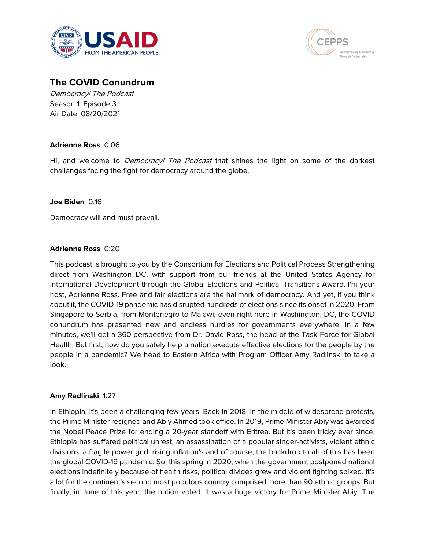



# **The COVID Conundrum**

Democracy! The Podcast Season 1: Episode 3 Air Date: 08/20/2021

## **Adrienne Ross** 0:06

Hi, and welcome to *Democracy! The Podcast* that shines the light on some of the darkest challenges facing the fight for democracy around the globe.

## **Joe Biden** 0:16

Democracy will and must prevail.

## **Adrienne Ross** 0:20

This podcast is brought to you by the Consortium for Elections and Political Process Strengthening direct from Washington DC, with support from our friends at the United States Agency for International Development through the Global Elections and Political Transitions Award. I'm your host, Adrienne Ross. Free and fair elections are the hallmark of democracy. And yet, if you think about it, the COVID-19 pandemic has disrupted hundreds of elections since its onset in 2020. From Singapore to Serbia, from Montenegro to Malawi, even right here in Washington, DC, the COVID conundrum has presented new and endless hurdles for governments everywhere. In a few minutes, we'll get a 360 perspective from Dr. David Ross, the head of the Task Force for Global Health. But first, how do you safely help a nation execute effective elections for the people by the people in a pandemic? We head to Eastern Africa with Program Officer Amy Radlinski to take a look.

## **Amy Radlinski** 1:27

In Ethiopia, it's been a challenging few years. Back in 2018, in the middle of widespread protests, the Prime Minister resigned and Abiy Ahmed took office. In 2019, Prime Minister Abiy was awarded the Nobel Peace Prize for ending a 20-year standoff with Eritrea. But it's been tricky ever since. Ethiopia has suffered political unrest, an assassination of a popular singer-activists, violent ethnic divisions, a fragile power grid, rising inflation's and of course, the backdrop to all of this has been the global COVID-19 pandemic. So, this spring in 2020, when the government postponed national elections indefinitely because of health risks, political divides grew and violent fighting spiked. It's a lot for the continent's second most populous country comprised more than 90 ethnic groups. But finally, in June of this year, the nation voted. It was a huge victory for Prime Minister Abiy. The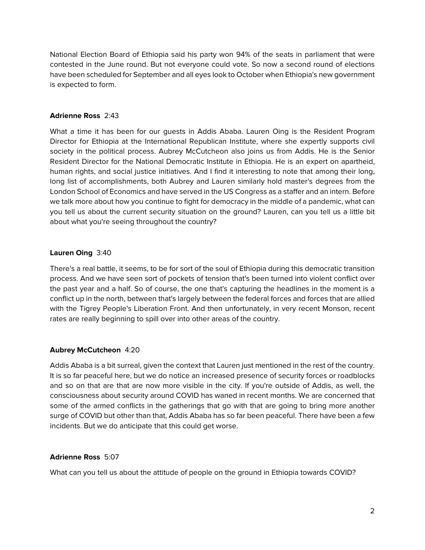National Election Board of Ethiopia said his party won 94% of the seats in parliament that were contested in the June round. But not everyone could vote. So now a second round of elections have been scheduled for September and all eyes look to October when Ethiopia's new government is expected to form.

## **Adrienne Ross** 2:43

What a time it has been for our guests in Addis Ababa. Lauren Oing is the Resident Program Director for Ethiopia at the International Republican Institute, where she expertly supports civil society in the political process. Aubrey McCutcheon also joins us from Addis. He is the Senior Resident Director for the National Democratic Institute in Ethiopia. He is an expert on apartheid, human rights, and social justice initiatives. And I find it interesting to note that among their long, long list of accomplishments, both Aubrey and Lauren similarly hold master's degrees from the London School of Economics and have served in the US Congress as a staffer and an intern. Before we talk more about how you continue to fight for democracy in the middle of a pandemic, what can you tell us about the current security situation on the ground? Lauren, can you tell us a little bit about what you're seeing throughout the country?

## **Lauren Oing** 3:40

There's a real battle, it seems, to be for sort of the soul of Ethiopia during this democratic transition process. And we have seen sort of pockets of tension that's been turned into violent conflict over the past year and a half. So of course, the one that's capturing the headlines in the moment is a conflict up in the north, between that's largely between the federal forces and forces that are allied with the Tigrey People's Liberation Front. And then unfortunately, in very recent Monson, recent rates are really beginning to spill over into other areas of the country.

## **Aubrey McCutcheon** 4:20

Addis Ababa is a bit surreal, given the context that Lauren just mentioned in the rest of the country. It is so far peaceful here, but we do notice an increased presence of security forces or roadblocks and so on that are that are now more visible in the city. If you're outside of Addis, as well, the consciousness about security around COVID has waned in recent months. We are concerned that some of the armed conflicts in the gatherings that go with that are going to bring more another surge of COVID but other than that, Addis Ababa has so far been peaceful. There have been a few incidents. But we do anticipate that this could get worse.

## **Adrienne Ross** 5:07

What can you tell us about the attitude of people on the ground in Ethiopia towards COVID?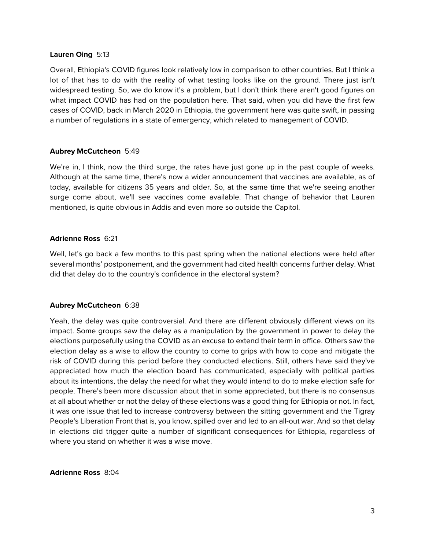### **Lauren Oing** 5:13

Overall, Ethiopia's COVID figures look relatively low in comparison to other countries. But I think a lot of that has to do with the reality of what testing looks like on the ground. There just isn't widespread testing. So, we do know it's a problem, but I don't think there aren't good figures on what impact COVID has had on the population here. That said, when you did have the first few cases of COVID, back in March 2020 in Ethiopia, the government here was quite swift, in passing a number of regulations in a state of emergency, which related to management of COVID.

#### **Aubrey McCutcheon** 5:49

We're in, I think, now the third surge, the rates have just gone up in the past couple of weeks. Although at the same time, there's now a wider announcement that vaccines are available, as of today, available for citizens 35 years and older. So, at the same time that we're seeing another surge come about, we'll see vaccines come available. That change of behavior that Lauren mentioned, is quite obvious in Addis and even more so outside the Capitol.

## **Adrienne Ross** 6:21

Well, let's go back a few months to this past spring when the national elections were held after several months' postponement, and the government had cited health concerns further delay. What did that delay do to the country's confidence in the electoral system?

## **Aubrey McCutcheon** 6:38

Yeah, the delay was quite controversial. And there are different obviously different views on its impact. Some groups saw the delay as a manipulation by the government in power to delay the elections purposefully using the COVID as an excuse to extend their term in office. Others saw the election delay as a wise to allow the country to come to grips with how to cope and mitigate the risk of COVID during this period before they conducted elections. Still, others have said they've appreciated how much the election board has communicated, especially with political parties about its intentions, the delay the need for what they would intend to do to make election safe for people. There's been more discussion about that in some appreciated, but there is no consensus at all about whether or not the delay of these elections was a good thing for Ethiopia or not. In fact, it was one issue that led to increase controversy between the sitting government and the Tigray People's Liberation Front that is, you know, spilled over and led to an all-out war. And so that delay in elections did trigger quite a number of significant consequences for Ethiopia, regardless of where you stand on whether it was a wise move.

**Adrienne Ross** 8:04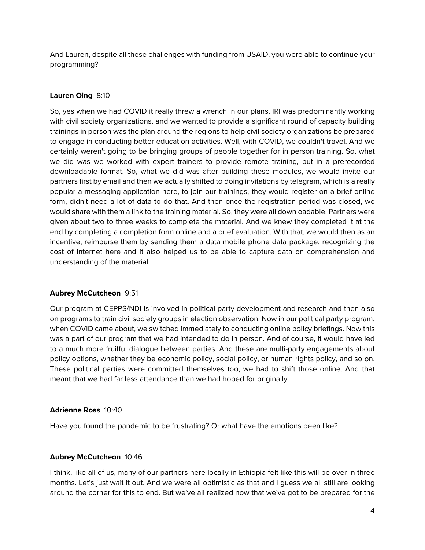And Lauren, despite all these challenges with funding from USAID, you were able to continue your programming?

## **Lauren Oing** 8:10

So, yes when we had COVID it really threw a wrench in our plans. IRI was predominantly working with civil society organizations, and we wanted to provide a significant round of capacity building trainings in person was the plan around the regions to help civil society organizations be prepared to engage in conducting better education activities. Well, with COVID, we couldn't travel. And we certainly weren't going to be bringing groups of people together for in person training. So, what we did was we worked with expert trainers to provide remote training, but in a prerecorded downloadable format. So, what we did was after building these modules, we would invite our partners first by email and then we actually shifted to doing invitations by telegram, which is a really popular a messaging application here, to join our trainings, they would register on a brief online form, didn't need a lot of data to do that. And then once the registration period was closed, we would share with them a link to the training material. So, they were all downloadable. Partners were given about two to three weeks to complete the material. And we knew they completed it at the end by completing a completion form online and a brief evaluation. With that, we would then as an incentive, reimburse them by sending them a data mobile phone data package, recognizing the cost of internet here and it also helped us to be able to capture data on comprehension and understanding of the material.

## **Aubrey McCutcheon** 9:51

Our program at CEPPS/NDI is involved in political party development and research and then also on programs to train civil society groups in election observation. Now in our political party program, when COVID came about, we switched immediately to conducting online policy briefings. Now this was a part of our program that we had intended to do in person. And of course, it would have led to a much more fruitful dialogue between parties. And these are multi-party engagements about policy options, whether they be economic policy, social policy, or human rights policy, and so on. These political parties were committed themselves too, we had to shift those online. And that meant that we had far less attendance than we had hoped for originally.

### **Adrienne Ross** 10:40

Have you found the pandemic to be frustrating? Or what have the emotions been like?

## **Aubrey McCutcheon** 10:46

I think, like all of us, many of our partners here locally in Ethiopia felt like this will be over in three months. Let's just wait it out. And we were all optimistic as that and I guess we all still are looking around the corner for this to end. But we've all realized now that we've got to be prepared for the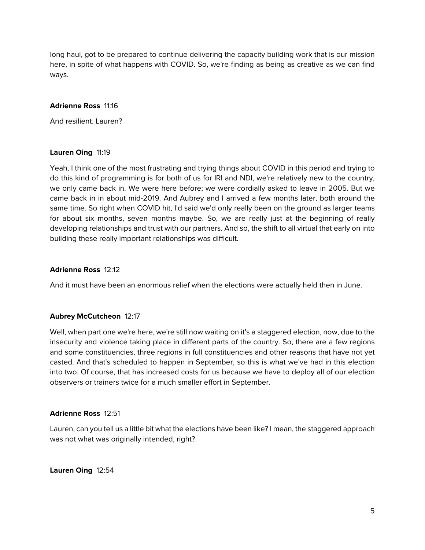long haul, got to be prepared to continue delivering the capacity building work that is our mission here, in spite of what happens with COVID. So, we're finding as being as creative as we can find ways.

## **Adrienne Ross** 11:16

And resilient. Lauren?

## **Lauren Oing** 11:19

Yeah, I think one of the most frustrating and trying things about COVID in this period and trying to do this kind of programming is for both of us for IRI and NDI, we're relatively new to the country, we only came back in. We were here before; we were cordially asked to leave in 2005. But we came back in in about mid-2019. And Aubrey and I arrived a few months later, both around the same time. So right when COVID hit, I'd said we'd only really been on the ground as larger teams for about six months, seven months maybe. So, we are really just at the beginning of really developing relationships and trust with our partners. And so, the shift to all virtual that early on into building these really important relationships was difficult.

## **Adrienne Ross** 12:12

And it must have been an enormous relief when the elections were actually held then in June.

## **Aubrey McCutcheon** 12:17

Well, when part one we're here, we're still now waiting on it's a staggered election, now, due to the insecurity and violence taking place in different parts of the country. So, there are a few regions and some constituencies, three regions in full constituencies and other reasons that have not yet casted. And that's scheduled to happen in September, so this is what we've had in this election into two. Of course, that has increased costs for us because we have to deploy all of our election observers or trainers twice for a much smaller effort in September.

## **Adrienne Ross** 12:51

Lauren, can you tell us a little bit what the elections have been like? I mean, the staggered approach was not what was originally intended, right?

**Lauren Oing** 12:54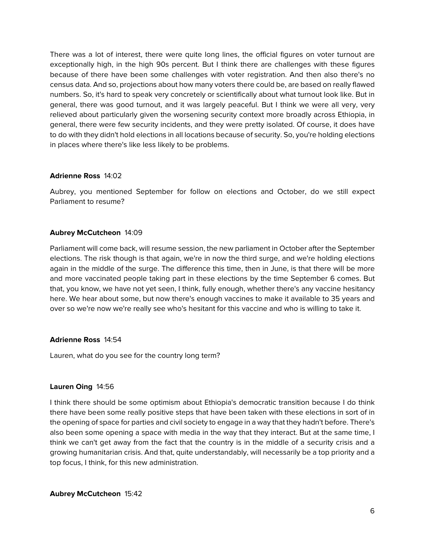There was a lot of interest, there were quite long lines, the official figures on voter turnout are exceptionally high, in the high 90s percent. But I think there are challenges with these figures because of there have been some challenges with voter registration. And then also there's no census data. And so, projections about how many voters there could be, are based on really flawed numbers. So, it's hard to speak very concretely or scientifically about what turnout look like. But in general, there was good turnout, and it was largely peaceful. But I think we were all very, very relieved about particularly given the worsening security context more broadly across Ethiopia, in general, there were few security incidents, and they were pretty isolated. Of course, it does have to do with they didn't hold elections in all locations because of security. So, you're holding elections in places where there's like less likely to be problems.

## **Adrienne Ross** 14:02

Aubrey, you mentioned September for follow on elections and October, do we still expect Parliament to resume?

## **Aubrey McCutcheon** 14:09

Parliament will come back, will resume session, the new parliament in October after the September elections. The risk though is that again, we're in now the third surge, and we're holding elections again in the middle of the surge. The difference this time, then in June, is that there will be more and more vaccinated people taking part in these elections by the time September 6 comes. But that, you know, we have not yet seen, I think, fully enough, whether there's any vaccine hesitancy here. We hear about some, but now there's enough vaccines to make it available to 35 years and over so we're now we're really see who's hesitant for this vaccine and who is willing to take it.

## **Adrienne Ross** 14:54

Lauren, what do you see for the country long term?

## **Lauren Oing** 14:56

I think there should be some optimism about Ethiopia's democratic transition because I do think there have been some really positive steps that have been taken with these elections in sort of in the opening of space for parties and civil society to engage in a way that they hadn't before. There's also been some opening a space with media in the way that they interact. But at the same time, I think we can't get away from the fact that the country is in the middle of a security crisis and a growing humanitarian crisis. And that, quite understandably, will necessarily be a top priority and a top focus, I think, for this new administration.

**Aubrey McCutcheon** 15:42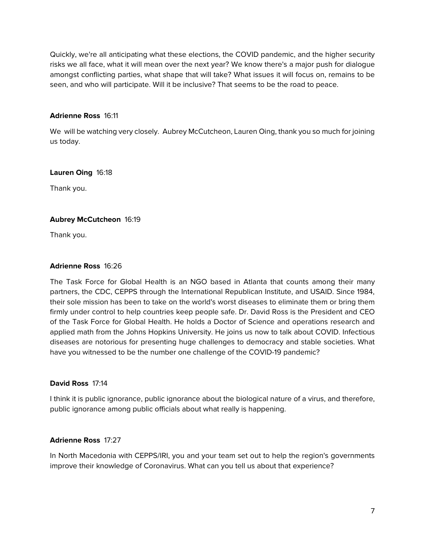Quickly, we're all anticipating what these elections, the COVID pandemic, and the higher security risks we all face, what it will mean over the next year? We know there's a major push for dialogue amongst conflicting parties, what shape that will take? What issues it will focus on, remains to be seen, and who will participate. Will it be inclusive? That seems to be the road to peace.

## **Adrienne Ross** 16:11

We will be watching very closely. Aubrey McCutcheon, Lauren Oing, thank you so much for joining us today.

**Lauren Oing** 16:18

Thank you.

## **Aubrey McCutcheon** 16:19

Thank you.

## **Adrienne Ross** 16:26

The Task Force for Global Health is an NGO based in Atlanta that counts among their many partners, the CDC, CEPPS through the International Republican Institute, and USAID. Since 1984, their sole mission has been to take on the world's worst diseases to eliminate them or bring them firmly under control to help countries keep people safe. Dr. David Ross is the President and CEO of the Task Force for Global Health. He holds a Doctor of Science and operations research and applied math from the Johns Hopkins University. He joins us now to talk about COVID. Infectious diseases are notorious for presenting huge challenges to democracy and stable societies. What have you witnessed to be the number one challenge of the COVID-19 pandemic?

## **David Ross** 17:14

I think it is public ignorance, public ignorance about the biological nature of a virus, and therefore, public ignorance among public officials about what really is happening.

## **Adrienne Ross** 17:27

In North Macedonia with CEPPS/IRI, you and your team set out to help the region's governments improve their knowledge of Coronavirus. What can you tell us about that experience?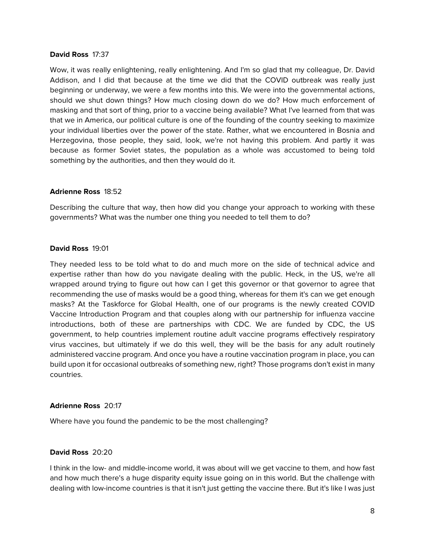#### **David Ross** 17:37

Wow, it was really enlightening, really enlightening. And I'm so glad that my colleague, Dr. David Addison, and I did that because at the time we did that the COVID outbreak was really just beginning or underway, we were a few months into this. We were into the governmental actions, should we shut down things? How much closing down do we do? How much enforcement of masking and that sort of thing, prior to a vaccine being available? What I've learned from that was that we in America, our political culture is one of the founding of the country seeking to maximize your individual liberties over the power of the state. Rather, what we encountered in Bosnia and Herzegovina, those people, they said, look, we're not having this problem. And partly it was because as former Soviet states, the population as a whole was accustomed to being told something by the authorities, and then they would do it.

#### **Adrienne Ross** 18:52

Describing the culture that way, then how did you change your approach to working with these governments? What was the number one thing you needed to tell them to do?

### **David Ross** 19:01

They needed less to be told what to do and much more on the side of technical advice and expertise rather than how do you navigate dealing with the public. Heck, in the US, we're all wrapped around trying to figure out how can I get this governor or that governor to agree that recommending the use of masks would be a good thing, whereas for them it's can we get enough masks? At the Taskforce for Global Health, one of our programs is the newly created COVID Vaccine Introduction Program and that couples along with our partnership for influenza vaccine introductions, both of these are partnerships with CDC. We are funded by CDC, the US government, to help countries implement routine adult vaccine programs effectively respiratory virus vaccines, but ultimately if we do this well, they will be the basis for any adult routinely administered vaccine program. And once you have a routine vaccination program in place, you can build upon it for occasional outbreaks of something new, right? Those programs don't exist in many countries.

## **Adrienne Ross** 20:17

Where have you found the pandemic to be the most challenging?

## **David Ross** 20:20

I think in the low- and middle-income world, it was about will we get vaccine to them, and how fast and how much there's a huge disparity equity issue going on in this world. But the challenge with dealing with low-income countries is that it isn't just getting the vaccine there. But it's like I was just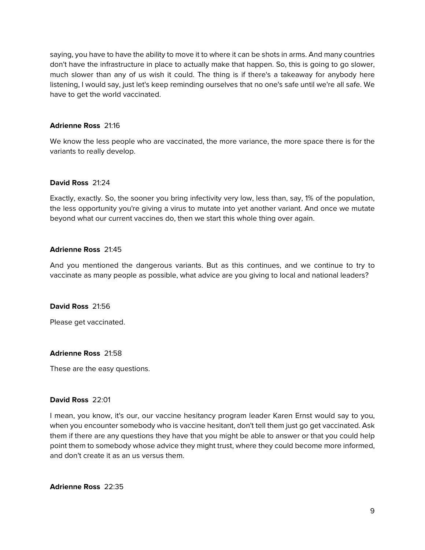saying, you have to have the ability to move it to where it can be shots in arms. And many countries don't have the infrastructure in place to actually make that happen. So, this is going to go slower, much slower than any of us wish it could. The thing is if there's a takeaway for anybody here listening, I would say, just let's keep reminding ourselves that no one's safe until we're all safe. We have to get the world vaccinated.

## **Adrienne Ross** 21:16

We know the less people who are vaccinated, the more variance, the more space there is for the variants to really develop.

## **David Ross** 21:24

Exactly, exactly. So, the sooner you bring infectivity very low, less than, say, 1% of the population, the less opportunity you're giving a virus to mutate into yet another variant. And once we mutate beyond what our current vaccines do, then we start this whole thing over again.

## **Adrienne Ross** 21:45

And you mentioned the dangerous variants. But as this continues, and we continue to try to vaccinate as many people as possible, what advice are you giving to local and national leaders?

## **David Ross** 21:56

Please get vaccinated.

## **Adrienne Ross** 21:58

These are the easy questions.

## **David Ross** 22:01

I mean, you know, it's our, our vaccine hesitancy program leader Karen Ernst would say to you, when you encounter somebody who is vaccine hesitant, don't tell them just go get vaccinated. Ask them if there are any questions they have that you might be able to answer or that you could help point them to somebody whose advice they might trust, where they could become more informed, and don't create it as an us versus them.

**Adrienne Ross** 22:35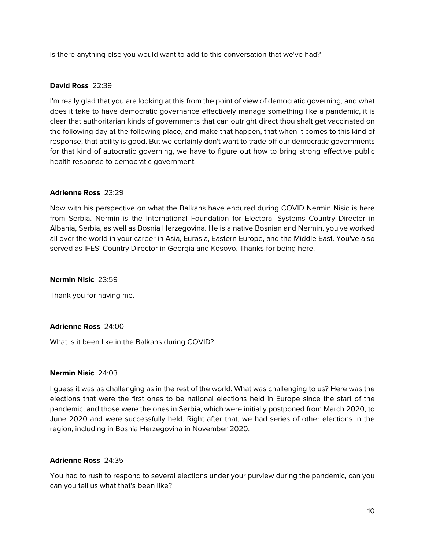Is there anything else you would want to add to this conversation that we've had?

## **David Ross** 22:39

I'm really glad that you are looking at this from the point of view of democratic governing, and what does it take to have democratic governance effectively manage something like a pandemic, it is clear that authoritarian kinds of governments that can outright direct thou shalt get vaccinated on the following day at the following place, and make that happen, that when it comes to this kind of response, that ability is good. But we certainly don't want to trade off our democratic governments for that kind of autocratic governing, we have to figure out how to bring strong effective public health response to democratic government.

## **Adrienne Ross** 23:29

Now with his perspective on what the Balkans have endured during COVID Nermin Nisic is here from Serbia. Nermin is the International Foundation for Electoral Systems Country Director in Albania, Serbia, as well as Bosnia Herzegovina. He is a native Bosnian and Nermin, you've worked all over the world in your career in Asia, Eurasia, Eastern Europe, and the Middle East. You've also served as IFES' Country Director in Georgia and Kosovo. Thanks for being here.

## **Nermin Nisic** 23:59

Thank you for having me.

## **Adrienne Ross** 24:00

What is it been like in the Balkans during COVID?

## **Nermin Nisic** 24:03

I guess it was as challenging as in the rest of the world. What was challenging to us? Here was the elections that were the first ones to be national elections held in Europe since the start of the pandemic, and those were the ones in Serbia, which were initially postponed from March 2020, to June 2020 and were successfully held. Right after that, we had series of other elections in the region, including in Bosnia Herzegovina in November 2020.

## **Adrienne Ross** 24:35

You had to rush to respond to several elections under your purview during the pandemic, can you can you tell us what that's been like?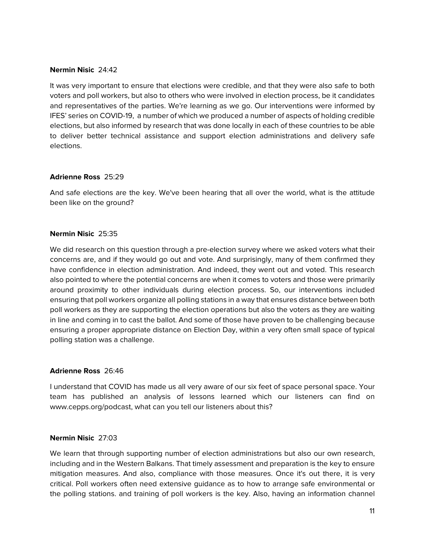### **Nermin Nisic** 24:42

It was very important to ensure that elections were credible, and that they were also safe to both voters and poll workers, but also to others who were involved in election process, be it candidates and representatives of the parties. We're learning as we go. Our interventions were informed by IFES' series on COVID-19, a number of which we produced a number of aspects of holding credible elections, but also informed by research that was done locally in each of these countries to be able to deliver better technical assistance and support election administrations and delivery safe elections.

## **Adrienne Ross** 25:29

And safe elections are the key. We've been hearing that all over the world, what is the attitude been like on the ground?

#### **Nermin Nisic** 25:35

We did research on this question through a pre-election survey where we asked voters what their concerns are, and if they would go out and vote. And surprisingly, many of them confirmed they have confidence in election administration. And indeed, they went out and voted. This research also pointed to where the potential concerns are when it comes to voters and those were primarily around proximity to other individuals during election process. So, our interventions included ensuring that poll workers organize all polling stations in a way that ensures distance between both poll workers as they are supporting the election operations but also the voters as they are waiting in line and coming in to cast the ballot. And some of those have proven to be challenging because ensuring a proper appropriate distance on Election Day, within a very often small space of typical polling station was a challenge.

#### **Adrienne Ross** 26:46

I understand that COVID has made us all very aware of our six feet of space personal space. Your team has published an analysis of lessons learned which our listeners can find on www.cepps.org/podcast, what can you tell our listeners about this?

#### **Nermin Nisic** 27:03

We learn that through supporting number of election administrations but also our own research, including and in the Western Balkans. That timely assessment and preparation is the key to ensure mitigation measures. And also, compliance with those measures. Once it's out there, it is very critical. Poll workers often need extensive guidance as to how to arrange safe environmental or the polling stations. and training of poll workers is the key. Also, having an information channel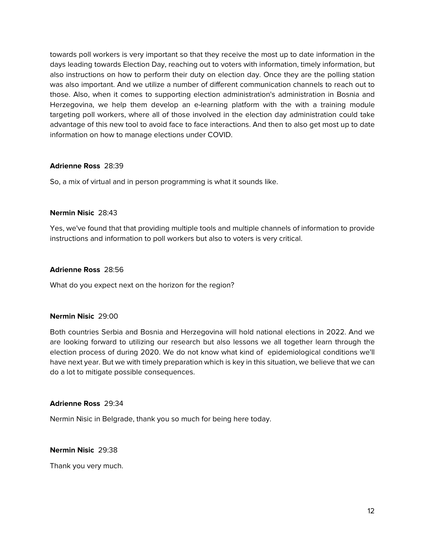towards poll workers is very important so that they receive the most up to date information in the days leading towards Election Day, reaching out to voters with information, timely information, but also instructions on how to perform their duty on election day. Once they are the polling station was also important. And we utilize a number of different communication channels to reach out to those. Also, when it comes to supporting election administration's administration in Bosnia and Herzegovina, we help them develop an e-learning platform with the with a training module targeting poll workers, where all of those involved in the election day administration could take advantage of this new tool to avoid face to face interactions. And then to also get most up to date information on how to manage elections under COVID.

## **Adrienne Ross** 28:39

So, a mix of virtual and in person programming is what it sounds like.

## **Nermin Nisic** 28:43

Yes, we've found that that providing multiple tools and multiple channels of information to provide instructions and information to poll workers but also to voters is very critical.

## **Adrienne Ross** 28:56

What do you expect next on the horizon for the region?

## **Nermin Nisic** 29:00

Both countries Serbia and Bosnia and Herzegovina will hold national elections in 2022. And we are looking forward to utilizing our research but also lessons we all together learn through the election process of during 2020. We do not know what kind of epidemiological conditions we'll have next year. But we with timely preparation which is key in this situation, we believe that we can do a lot to mitigate possible consequences.

## **Adrienne Ross** 29:34

Nermin Nisic in Belgrade, thank you so much for being here today.

## **Nermin Nisic** 29:38

Thank you very much.